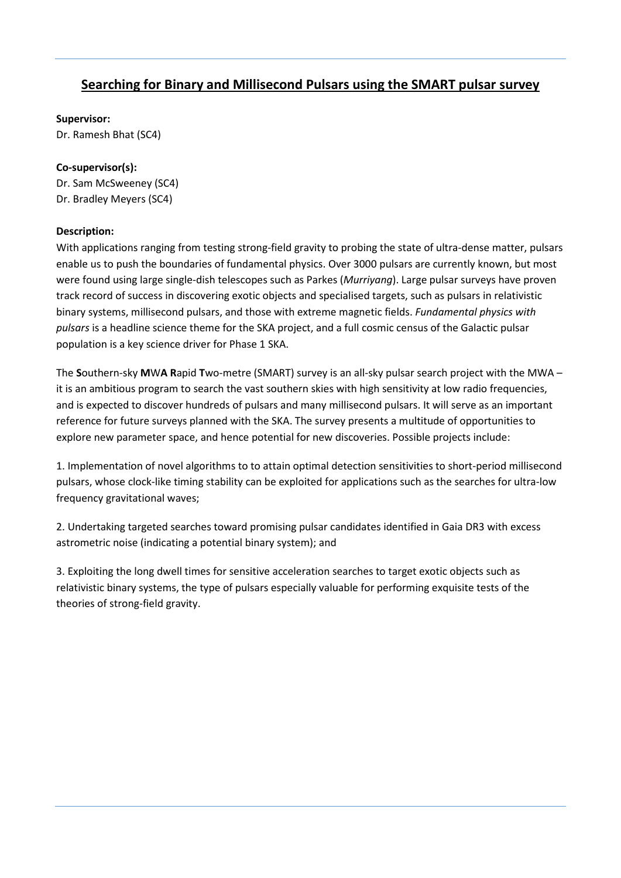## **Searching for Binary and Millisecond Pulsars using the SMART pulsar survey**

## **Supervisor:**

Dr. Ramesh Bhat (SC4)

## **Co-supervisor(s):**

Dr. Sam McSweeney (SC4) Dr. Bradley Meyers (SC4)

## **Description:**

With applications ranging from testing strong-field gravity to probing the state of ultra-dense matter, pulsars enable us to push the boundaries of fundamental physics. Over 3000 pulsars are currently known, but most were found using large single-dish telescopes such as Parkes (*Murriyang*). Large pulsar surveys have proven track record of success in discovering exotic objects and specialised targets, such as pulsars in relativistic binary systems, millisecond pulsars, and those with extreme magnetic fields. *Fundamental physics with pulsars* is a headline science theme for the SKA project, and a full cosmic census of the Galactic pulsar population is a key science driver for Phase 1 SKA.

The **S**outhern-sky **M**W**A R**apid **T**wo-metre (SMART) survey is an all-sky pulsar search project with the MWA – it is an ambitious program to search the vast southern skies with high sensitivity at low radio frequencies, and is expected to discover hundreds of pulsars and many millisecond pulsars. It will serve as an important reference for future surveys planned with the SKA. The survey presents a multitude of opportunities to explore new parameter space, and hence potential for new discoveries. Possible projects include:

1. Implementation of novel algorithms to to attain optimal detection sensitivities to short-period millisecond pulsars, whose clock-like timing stability can be exploited for applications such as the searches for ultra-low frequency gravitational waves;

2. Undertaking targeted searches toward promising pulsar candidates identified in Gaia DR3 with excess astrometric noise (indicating a potential binary system); and

3. Exploiting the long dwell times for sensitive acceleration searches to target exotic objects such as relativistic binary systems, the type of pulsars especially valuable for performing exquisite tests of the theories of strong-field gravity.